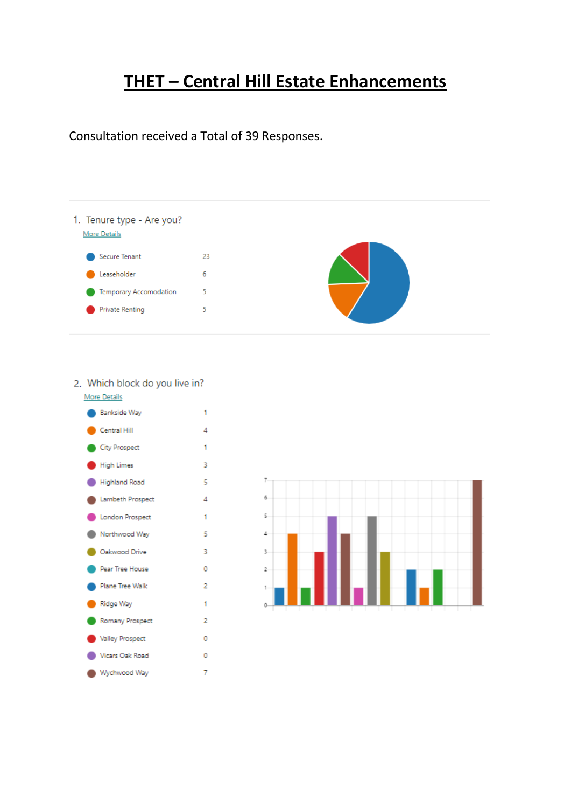# **THET – Central Hill Estate Enhancements**

Consultation received a Total of 39 Responses.



## 2. Which block do you live in?



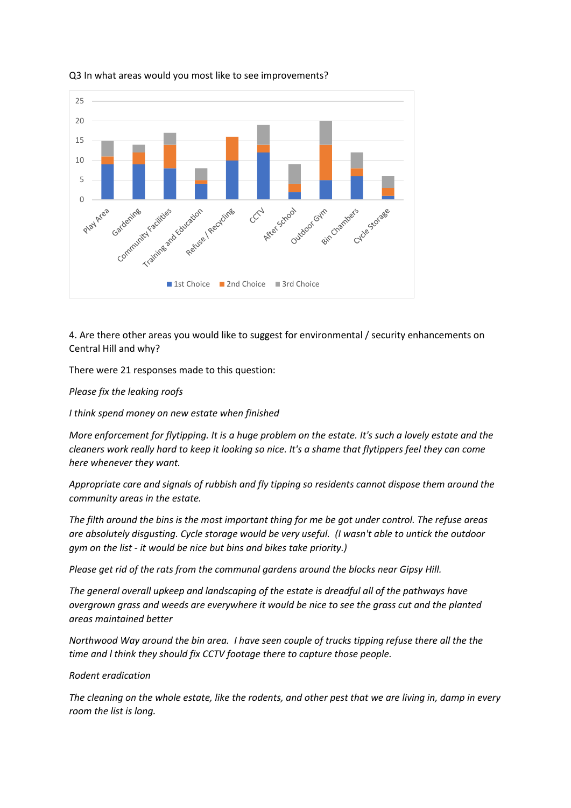

#### Q3 In what areas would you most like to see improvements?

4. Are there other areas you would like to suggest for environmental / security enhancements on Central Hill and why?

There were 21 responses made to this question:

*Please fix the leaking roofs*

*I think spend money on new estate when finished* 

*More enforcement for flytipping. It is a huge problem on the estate. It's such a lovely estate and the cleaners work really hard to keep it looking so nice. It's a shame that flytippers feel they can come here whenever they want.*

*Appropriate care and signals of rubbish and fly tipping so residents cannot dispose them around the community areas in the estate.*

*The filth around the bins is the most important thing for me be got under control. The refuse areas are absolutely disgusting. Cycle storage would be very useful. (I wasn't able to untick the outdoor gym on the list - it would be nice but bins and bikes take priority.)* 

*Please get rid of the rats from the communal gardens around the blocks near Gipsy Hill.*

*The general overall upkeep and landscaping of the estate is dreadful all of the pathways have overgrown grass and weeds are everywhere it would be nice to see the grass cut and the planted areas maintained better*

*Northwood Way around the bin area. I have seen couple of trucks tipping refuse there all the the time and l think they should fix CCTV footage there to capture those people.*

## *Rodent eradication*

*The cleaning on the whole estate, like the rodents, and other pest that we are living in, damp in every room the list is long.*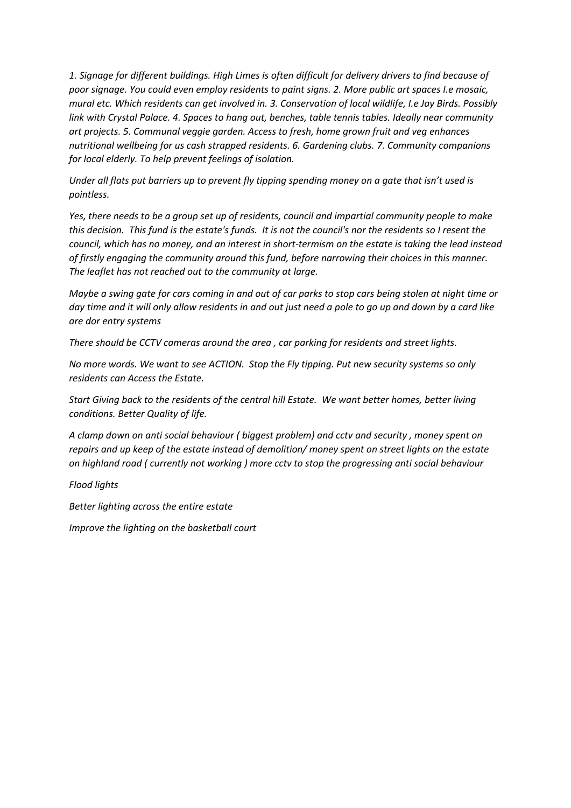*1. Signage for different buildings. High Limes is often difficult for delivery drivers to find because of poor signage. You could even employ residents to paint signs. 2. More public art spaces I.e mosaic, mural etc. Which residents can get involved in. 3. Conservation of local wildlife, I.e Jay Birds. Possibly link with Crystal Palace. 4. Spaces to hang out, benches, table tennis tables. Ideally near community art projects. 5. Communal veggie garden. Access to fresh, home grown fruit and veg enhances nutritional wellbeing for us cash strapped residents. 6. Gardening clubs. 7. Community companions for local elderly. To help prevent feelings of isolation.* 

*Under all flats put barriers up to prevent fly tipping spending money on a gate that isn't used is pointless.*

*Yes, there needs to be a group set up of residents, council and impartial community people to make this decision. This fund is the estate's funds. It is not the council's nor the residents so I resent the council, which has no money, and an interest in short-termism on the estate is taking the lead instead of firstly engaging the community around this fund, before narrowing their choices in this manner. The leaflet has not reached out to the community at large.*

*Maybe a swing gate for cars coming in and out of car parks to stop cars being stolen at night time or day time and it will only allow residents in and out just need a pole to go up and down by a card like are dor entry systems* 

*There should be CCTV cameras around the area , car parking for residents and street lights.*

*No more words. We want to see ACTION. Stop the Fly tipping. Put new security systems so only residents can Access the Estate.* 

*Start Giving back to the residents of the central hill Estate. We want better homes, better living conditions. Better Quality of life.*

*A clamp down on anti social behaviour ( biggest problem) and cctv and security , money spent on repairs and up keep of the estate instead of demolition/ money spent on street lights on the estate on highland road ( currently not working ) more cctv to stop the progressing anti social behaviour* 

*Flood lights* 

*Better lighting across the entire estate* 

*Improve the lighting on the basketball court*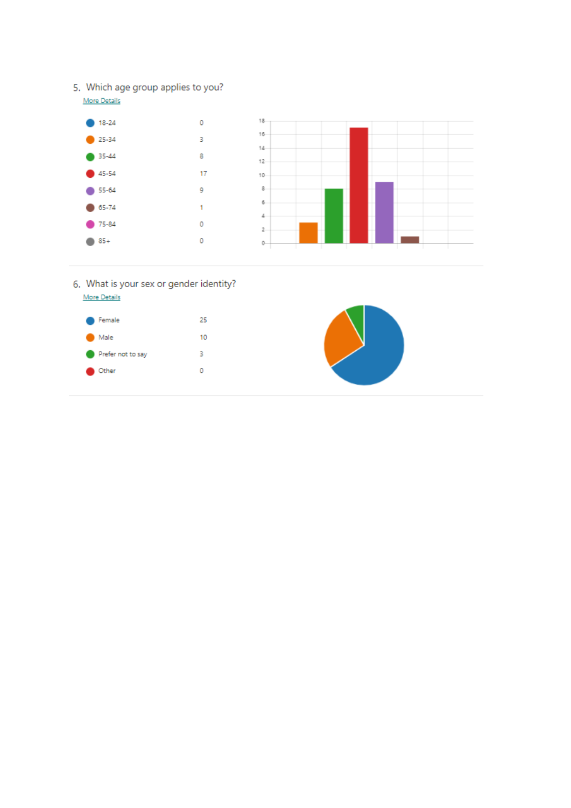5. Which age group applies to you?



- 6. What is your sex or gender identity? More Details
	- $\bullet$  Female 25  $\bullet$  Male 10 Prefer not to say  $\sim$  3  $\bullet$  Other  $\mathsf{O}\xspace$